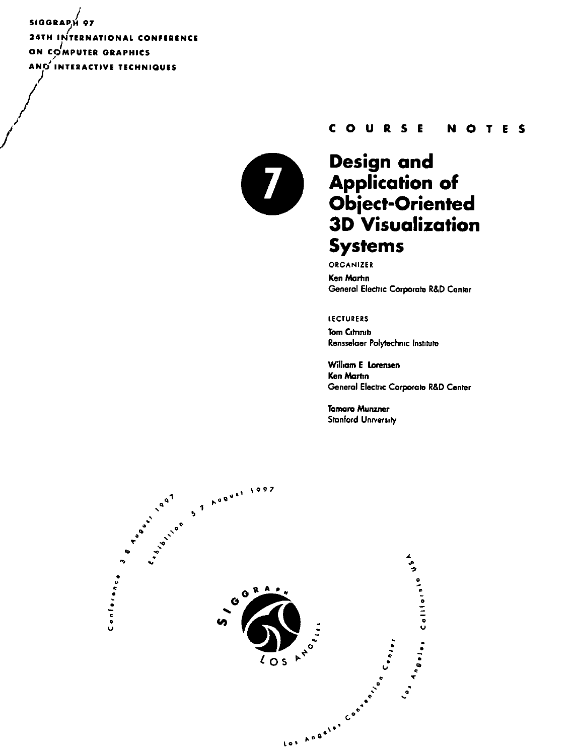SIGGRAPH 97 **24TH INTERNATIONAL CONFERENCE** ON COMPUTER GRAPHICS AND INTERACTIVE TECHNIQUES



#### COURSE **NOTES**

# Design and **Application of<br>Object-Oriented 3D Visualization Systems**

ORGANIZER **Ken Martin** General Electric Corporate R&D Center

**LECTURERS** 

**Tom Cimnin** Rensselaer Polytechnic Institute

William E Lorensen Ken Martin General Electric Corporate R&D Center

**Tamara Munzner Stanford University**